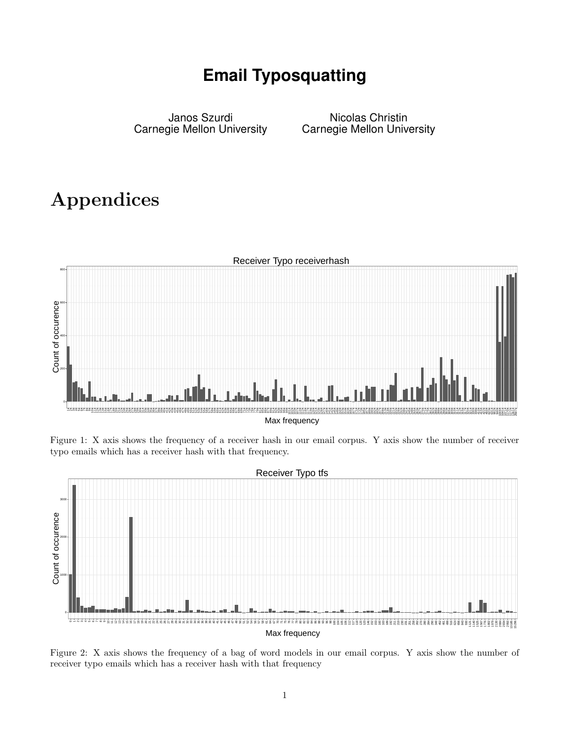## **Email Typosquatting**

Janos Szurdi Carnegie Mellon University

Nicolas Christin Carnegie Mellon University

## Appendices



Figure 1: X axis shows the frequency of a receiver hash in our email corpus. Y axis show the number of receiver typo emails which has a receiver hash with that frequency.



Figure 2: X axis shows the frequency of a bag of word models in our email corpus. Y axis show the number of receiver typo emails which has a receiver hash with that frequency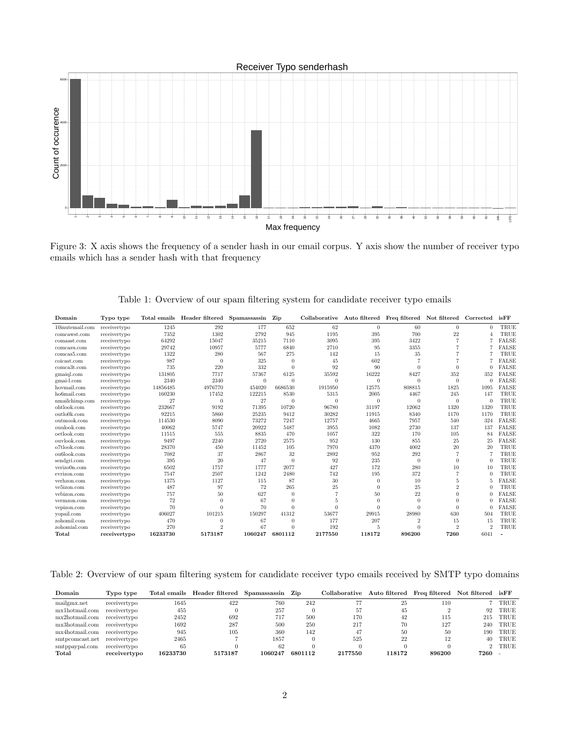

Figure 3: X axis shows the frequency of a sender hash in our email corpus. Y axis show the number of receiver typo emails which has a sender hash with that frequency

| Domain             | Typo type    |          | Total emails Header filtered Spamassassin Zip |              |                  |          | Collaborative Auto filtered Freq filtered Not filtered Corrected isFF |                |                |                |              |
|--------------------|--------------|----------|-----------------------------------------------|--------------|------------------|----------|-----------------------------------------------------------------------|----------------|----------------|----------------|--------------|
| $10$ inutemail.com | receivertypo | 1245     | 292                                           | 177          | 652              | 62       | $\overline{0}$                                                        | 60             | $\Omega$       | $\Omega$       | TRUE         |
| comcawst.com       | receivertypo | 7352     | 1302                                          | 2792         | 945              | 1195     | 395                                                                   | 700            | 22             |                | TRUE         |
| comaast.com        | receivertypo | 64292    | 15047                                         | 35215        | 7110             | 3095     | 395                                                                   | 3422           |                |                | <b>FALSE</b> |
| comcasu.com        | receivertypo | 29742    | 10957                                         | 5777         | 6840             | 2710     | 95                                                                    | 3355           |                |                | <b>FALSE</b> |
| comcas5.com        | receivertypo | 1322     | 280                                           | 567          | 275              | 142      | 15                                                                    | 35             |                |                | TRUE         |
| coicast.com        | receivertypo | 987      | $\theta$                                      | 325          | $\mathbf{0}$     | 45       | 602                                                                   |                |                |                | <b>FALSE</b> |
| comca3t.com        | receivertypo | 735      | 220                                           | 332          | $\overline{0}$   | 92       | 90                                                                    | $\Omega$       | 0              |                | <b>FALSE</b> |
| gmaigl.com         | receivertypo | 131805   | 7717                                          | 57367        | 6125             | 35592    | 16222                                                                 | 8427           | 352            | 352            | <b>FALSE</b> |
| gmai-l.com         | receivertypo | 2340     | 2340                                          | $\mathbf{0}$ | $\overline{0}$   | $\theta$ | $\overline{0}$                                                        |                | $\Omega$       | $\mathbf{0}$   | <b>FALSE</b> |
| hovmail.com        | receivertypo | 14856485 | 4976770                                       | 454020       | 6686530          | 1915950  | 12575                                                                 | 808815         | 1825           | 1095           | <b>FALSE</b> |
| ho6mail.com        | receivertypo | 160230   | 17452                                         | 122215       | 8530             | 5315     | 2005                                                                  | 4467           | 245            | 147            | TRUE         |
| nmailchimp.com     | receivertypo | 27       | $\overline{0}$                                | 27           | $\overline{0}$   | $\theta$ | $\overline{0}$                                                        | $\Omega$       | $\theta$       | $\theta$       | TRUE         |
| ohtlook.com        | receivertypo | 232667   | 9192                                          | 71395        | 10720            | 96780    | 31197                                                                 | 12062          | 1320           | 1320           | TRUE         |
| outlo0k.com        | receivertypo | 92215    | 5860                                          | 25235        | 9412             | 30282    | 11915                                                                 | 8340           | 1170           | 1170           | TRUE         |
| outmook.com        | receivertypo | 114530   | 8090                                          | 73272        | 7247             | 12757    | 4665                                                                  | 7957           | 540            | 324            | <b>FALSE</b> |
| ouulook.com        | receivertypo | 40062    | 5747                                          | 20922        | 5487             | 3955     | 1082                                                                  | 2730           | 137            | 137            | <b>FALSE</b> |
| oetlook.com        | receivertypo | 11515    | 555                                           | 8835         | 470              | 1057     | 322                                                                   | 170            | 105            | 84             | <b>FALSE</b> |
| ouvlook.com        | receivertypo | 9497     | 2240                                          | 2720         | 2575             | 952      | 130                                                                   | 855            | 25             | 25             | <b>FALSE</b> |
| o7tlook.com        | receivertypo | 28370    | 450                                           | 11452        | 105              | 7970     | 4370                                                                  | 4002           | 20             | 20             | TRUE         |
| ou6look.com        | receivertypo | 7082     | 37                                            | 2867         | 32               | 2892     | 952                                                                   | 292            |                |                | TRUE         |
| sendgri.com        | receivertypo | 395      | 20                                            | 47           | $\overline{0}$   | 92       | 235                                                                   | $\theta$       | 0              | $\theta$       | TRUE         |
| verizo0n.com       | receivertypo | 6502     | 1757                                          | 1777         | 2077             | 427      | 172                                                                   | 280            | 10             | 10             | TRUE         |
| evrizon.com        | receivertypo | 7547     | 2507                                          | 1242         | 2480             | 742      | 195                                                                   | 372            |                | $\Omega$       | TRUE         |
| verhzon.com        | receivertypo | 1375     | 1127                                          | 115          | 87               | 30       | $\mathbf{0}$                                                          | 10             | 5              |                | <b>FALSE</b> |
| ve5izon.com        | receivertypo | 487      | 97                                            | 72           | 265              | 25       | $\mathbf{0}$                                                          | 25             | $\overline{2}$ | $\Omega$       | TRUE         |
| vebizon.com        | receivertypo | 757      | 50                                            | 627          | $\boldsymbol{0}$ |          | 50                                                                    | 22             | 0              | $\Omega$       | <b>FALSE</b> |
| vermzon.com        | receivertypo | 72       | $\Omega$                                      | 67           | $\mathbf{0}$     | 5        | $\Omega$                                                              | $\Omega$       | 0              |                | <b>FALSE</b> |
| vepizon.com        | receivertypo | 70       | $\Omega$                                      | 70           | $\Omega$         | $\Omega$ | 0                                                                     | 0              | 0              |                | <b>FALSE</b> |
| vopail.com         | receivertypo | 406027   | 101215                                        | 150297       | 41312            | 53677    | 29915                                                                 | 28980          | 630            | 504            | TRUE         |
| zohomil.com        | receivertypo | 470      | $\theta$                                      | 67           | $\mathbf{0}$     | 177      | 207                                                                   | $\overline{2}$ | 15             | 15             | TRUE         |
| zohomial.com       | receivertypo | 270      | $\overline{2}$                                | 67           | $\Omega$         | 192      | 5                                                                     |                | $\overline{2}$ | $\overline{2}$ | TRUE         |
| Total              | receivertypo | 16233730 | 5173187                                       | 1060247      | 6801112          | 2177550  | 118172                                                                | 896200         | 7260           | 6041           |              |

Table 1: Overview of our spam filtering system for candidate receiver typo emails

Table 2: Overview of our spam filtering system for candidate receiver typo emails received by SMTP typo domains

| Domain          | Typo type    |          | Total emails Header filtered | Spamassassin | Zip     | Collaborative |        | Auto filtered Freq filtered Not filtered is FF |      |        |
|-----------------|--------------|----------|------------------------------|--------------|---------|---------------|--------|------------------------------------------------|------|--------|
| mailgmx.net     | receivertypo | 1645     | 422                          | 760          | 242     |               | 25     | 110                                            |      | TRUE   |
| mx1hotmail.com  | receivertypo | 455      |                              | 257          |         | 57            | 45     |                                                | 92   | TRUE   |
| mx2hotmail.com  | receivertypo | 2452     | 692                          | 717          | 500     | 170           | 42     | 115                                            | 215  | TRUE   |
| mx3hotmail.com  | receivertypo | 1692     | 287                          | 500          | 250     | 217           | 70     | 127                                            | 240  | TRUE   |
| mx4hotmail.com  | receivertypo | 945      | 105                          | 360          | 142     | 47            | 50     | 50                                             | 190  | TRUE   |
| smtpcomcast.net | receivertypo | 2465     |                              | 1857         |         | 525           | 22     | 12                                             | 40   | TRUE   |
| smtppaypal.com  | receivertypo | 65       |                              | 62           |         |               |        |                                                |      | 2 TRUE |
| Total           | receivertypo | 16233730 | 5173187                      | 1060247      | 6801112 | 2177550       | 118172 | 896200                                         | 7260 |        |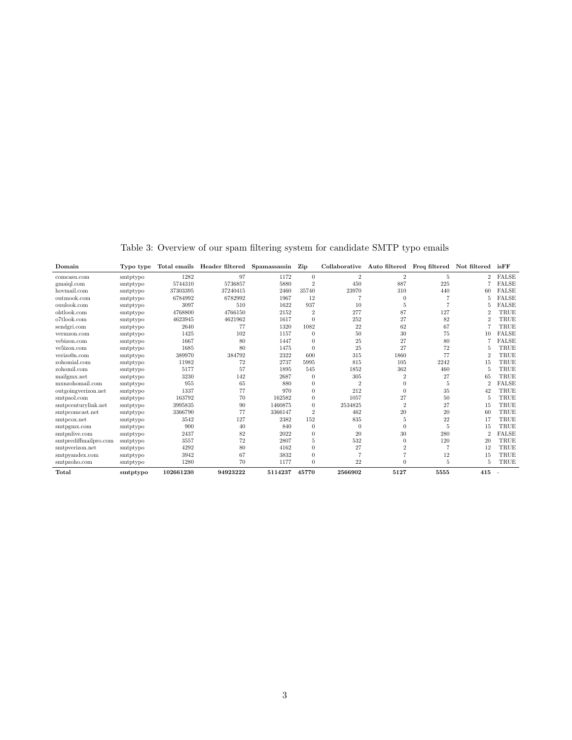| Domain                | Typo type |           | Total emails Header filtered | Spamassassin | Zip            | Collaborative  | Auto filtered Freq filtered Not filtered |      |                | isFF                     |
|-----------------------|-----------|-----------|------------------------------|--------------|----------------|----------------|------------------------------------------|------|----------------|--------------------------|
| comcasu.com           | smtptypo  | 1282      | 97                           | 1172         | $\Omega$       | $\overline{2}$ | $\overline{2}$                           | 5    | $\overline{2}$ | FALSE                    |
| gmaigl.com            | smtptypo  | 5744310   | 5736857                      | 5880         | $\overline{2}$ | 450            | 887                                      | 225  |                | <b>FALSE</b>             |
| hovmail.com           | smtptypo  | 37303395  | 37240415                     | 2460         | 35740          | 23970          | 310                                      | 440  | 60             | <b>FALSE</b>             |
| outmook.com           | smtptypo  | 6784992   | 6782992                      | 1967         | 12             |                | $\theta$                                 |      |                | <b>FALSE</b>             |
| ouulook.com           | smtptypo  | 3097      | 510                          | 1622         | 937            | 10             | 5                                        |      |                | FALSE                    |
| ohtlook.com           | smtptypo  | 4768800   | 4766150                      | 2152         | $\overline{2}$ | 277            | 87                                       | 127  | $\overline{2}$ | TRUE                     |
| o7tlook.com           | smtptypo  | 4623945   | 4621962                      | 1617         | $\Omega$       | 252            | 27                                       | 82   | $\Omega$       | TRUE                     |
| sendgri.com           | smtptypo  | 2640      | 77                           | 1320         | 1082           | 22             | 62                                       | 67   |                | TRUE                     |
| vermzon.com           | smtptypo  | 1425      | 102                          | 1157         | $\Omega$       | 50             | 30                                       | 75   | 10             | <b>FALSE</b>             |
| vebizon.com           | smtptypo  | 1667      | 80                           | 1447         | $\Omega$       | 25             | 27                                       | 80   |                | <b>FALSE</b>             |
| ve5izon.com           | smtptypo  | 1685      | 80                           | 1475         | $\Omega$       | 25             | 27                                       | 72   | 5              | TRUE                     |
| verizo0n.com          | smtptypo  | 389970    | 384792                       | 2322         | 600            | 315            | 1860                                     | 77   | $\overline{2}$ | TRUE                     |
| zohomial.com          | smtptypo  | 11982     | 72                           | 2737         | 5995           | 815            | 105                                      | 2242 | 15             | TRUE                     |
| zohomil.com           | smtptypo  | 5177      | 57                           | 1895         | 545            | 1852           | 362                                      | 460  | 5              | TRUE                     |
| mailgmx.net           | smtptypo  | 3230      | 142                          | 2687         | $\theta$       | 305            | $\overline{2}$                           | 27   | 65             | TRUE                     |
| mxnzohomail.com       | smtptypo  | 955       | 65                           | 880          | $\theta$       | $\overline{2}$ | $\theta$                                 | 5    | $\overline{2}$ | <b>FALSE</b>             |
| outgoingverizon.net   | smtptypo  | 1337      | 77                           | 970          | $\Omega$       | 212            | $\Omega$                                 | 35   | 42             | TRUE                     |
| smtpaol.com           | smtptypo  | 163792    | 70                           | 162582       | $\Omega$       | 1057           | 27                                       | 50   | 5              | TRUE                     |
| smtpcenturylink.net   | smtptypo  | 3995835   | 90                           | 1460875      | $\Omega$       | 2534825        | $\overline{2}$                           | 27   | 15             | TRUE                     |
| smtpcomcast.net       | smtptypo  | 3366790   | 77                           | 3366147      | $\overline{2}$ | 462            | 20                                       | 20   | 60             | TRUE                     |
| smtpcox.net           | smtptypo  | 3542      | 127                          | 2382         | 152            | 835            | 5                                        | 22   | 17             | TRUE                     |
| smtpgmx.com           | smtptypo  | 900       | 40                           | 840          | $\theta$       | $\theta$       | $\theta$                                 | 5    | 15             | TRUE                     |
| smtpnlive.com         | smtptypo  | 2437      | 82                           | 2022         | $\theta$       | 20             | 30                                       | 280  | $\overline{2}$ | <b>FALSE</b>             |
| smtprediffmailpro.com | smtptypo  | 3557      | 72                           | 2807         | 5              | 532            | $\Omega$                                 | 120  | 20             | TRUE                     |
| smtpverizon.net       | smtptypo  | 4292      | 80                           | 4162         | $\Omega$       | 27             | $\overline{2}$                           |      | 12             | TRUE                     |
| smtpyandex.com        | smtptypo  | 3942      | 67                           | 3832         | $\Omega$       |                | 7                                        | 12   | 15             | TRUE                     |
| smtpzoho.com          | smtptypo  | 1280      | 70                           | 1177         | $\Omega$       | 22             | $\Omega$                                 | 5    | 5              | TRUE                     |
| Total                 | smtptypo  | 102661230 | 94923222                     | 5114237      | 45770          | 2566902        | 5127                                     | 5555 | 415            | $\overline{\phantom{a}}$ |

Table 3: Overview of our spam filtering system for candidate SMTP typo emails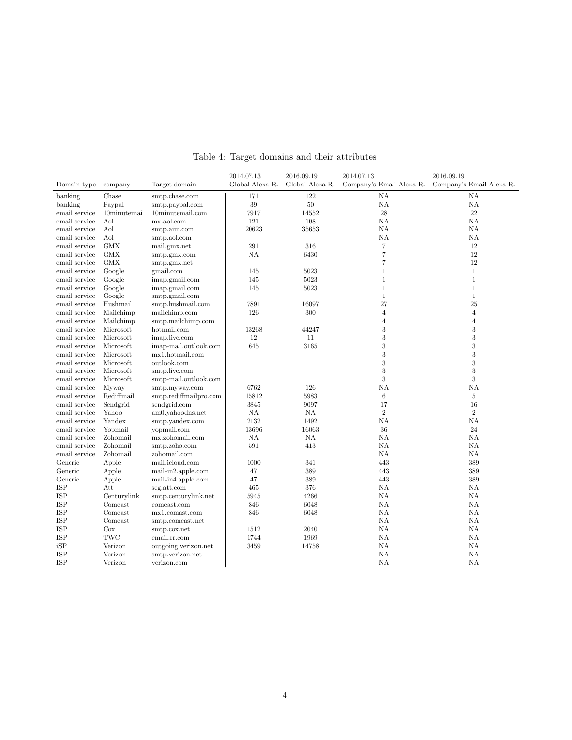|               |                      |                          | 2014.07.13      | 2016.09.19      | 2014.07.13       | 2016.09.19                                        |  |  |
|---------------|----------------------|--------------------------|-----------------|-----------------|------------------|---------------------------------------------------|--|--|
| Domain type   | company              | Target domain            | Global Alexa R. | Global Alexa R. |                  | Company's Email Alexa R. Company's Email Alexa R. |  |  |
| banking       | Chase                | smtp.chase.com           | 171             | 122             | ΝA               | NA                                                |  |  |
| banking       | Paypal               | smtp.paypal.com          | 39              | 50              | NA               | NA                                                |  |  |
| email service | $10$ minutemail      | $10$ minutemail.com      | 7917            | 14552           | $\sqrt{28}$      | 22                                                |  |  |
| email service | Aol                  | mx.aol.com               | 121             | 198             | NA               | NA                                                |  |  |
| email service | $\operatorname{Aol}$ | smtp.aim.com             | 20623           | 35653           | NA               | NA                                                |  |  |
| email service | Aol                  | smtp.aol.com             |                 |                 | NA               | NA                                                |  |  |
| email service | <b>GMX</b>           | mail.gmx.net             | 291             | 316             | 7                | 12                                                |  |  |
| email service | <b>GMX</b>           | smtp.gmx.com             | NA              | 6430            | $\overline{7}$   | 12                                                |  |  |
| email service | <b>GMX</b>           | smtp.gmx.net             |                 |                 | $\overline{7}$   | 12                                                |  |  |
| email service | Google               | gmail.com                | 145             | 5023            | $\mathbf{1}$     | $1\,$                                             |  |  |
| email service | Google               | imap.gmail.com           | 145             | 5023            | $\mathbf{1}$     | $\,1\,$                                           |  |  |
| email service | Google               | imap.gmail.com           | 145             | 5023            | $\mathbf{1}$     | $\mathbf{1}$                                      |  |  |
| email service | Google               | smtp.gmail.com           |                 |                 | $\mathbf{1}$     | $\mathbf{1}$                                      |  |  |
| email service | Hushmail             | smtp.hushmail.com        | 7891            | 16097           | 27               | 25                                                |  |  |
| email service | Mailchimp            | mailchimp.com            | 126             | 300             | $\overline{4}$   | $\overline{4}$                                    |  |  |
| email service | Mailchimp            | smtp.mailchimp.com       |                 |                 | $\overline{4}$   | $\overline{4}$                                    |  |  |
| email service | Microsoft            | hotmail.com              | 13268           | 44247           | $\boldsymbol{3}$ | 3                                                 |  |  |
| email service | Microsoft            | imap.live.com            | 12              | 11              | 3                | 3                                                 |  |  |
| email service | Microsoft            | imap-mail.outlook.com    | 645             | 3165            | $\boldsymbol{3}$ | 3                                                 |  |  |
| email service | Microsoft            | mx1.hotmail.com          |                 |                 | $\boldsymbol{3}$ | 3                                                 |  |  |
| email service | Microsoft            | outlook.com              |                 |                 | 3                | 3                                                 |  |  |
| email service | Microsoft            | smtp.live.com            |                 |                 | 3                | 3                                                 |  |  |
| email service | Microsoft            | smtp-mail.outlook.com    |                 |                 | 3                | 3                                                 |  |  |
| email service | Myway                | smtp.myway.com           | 6762            | 126             | NA               | NA                                                |  |  |
| email service | Rediffmail           | smtp.rediffmailpro.com   | 15812           | 5983            | $\,6\,$          | 5                                                 |  |  |
| email service | Sendgrid             | sendgrid.com             | 3845            | 9097            | 17               | 16                                                |  |  |
| email service | Yahoo                | am0.vahoodns.net         | $\rm NA$        | NA              | $\overline{2}$   | $\overline{2}$                                    |  |  |
| email service | Yandex               | smtp.yandex.com          | 2132            | 1492            | NA               | NA                                                |  |  |
| email service | Yopmail              | vopmail.com              | 13696           | 16063           | 36               | 24                                                |  |  |
| email service | Zohomail             | mx.zohomail.com          | NA              | NA              | NA               | NA                                                |  |  |
| email service | Zohomail             | smtp.zoho.com            | 591             | 413             | NA               | NA                                                |  |  |
| email service | Zohomail             | zohomail.com             |                 |                 | NA               | NA                                                |  |  |
| Generic       | Apple                | mail.icloud.com          | 1000            | 341             | 443              | 389                                               |  |  |
| Generic       | Apple                | $mail-in2.append.e.$ com | 47              | 389             | 443              | 389                                               |  |  |
| Generic       | Apple                | mail-in4.apple.com       | 47              | 389             | 443              | 389                                               |  |  |
| <b>ISP</b>    | Att                  | seg.att.com              | 465             | 376             | NA               | NA                                                |  |  |
| ISP           | Centurylink          | smtp.centurylink.net     | 5945            | 4266            | NA               | NA                                                |  |  |
| <b>ISP</b>    | Comcast              | comcast.com              | 846             | 6048            | NA               | NA                                                |  |  |
| <b>ISP</b>    | Comcast              | mx1.comast.com           | 846             | 6048            | ΝA               | NA                                                |  |  |
| ISP           | Comcast              | smtp.comcast.net         |                 |                 | NA               | NA                                                |  |  |
| ISP           | Cox                  | smtp.cox.net             | 1512            | 2040            | ΝA               | NA                                                |  |  |
| <b>ISP</b>    | TWC                  | email.rr.com             | 1744            | 1969            | NA               | NA                                                |  |  |
| iSP           | Verizon              | outgoing.verizon.net     | 3459            | 14758           | NA               | NA                                                |  |  |
| <b>ISP</b>    | Verizon              | smtp.verizon.net         |                 |                 | <b>NA</b>        | NA                                                |  |  |
| ISP           | Verizon              | verizon.com              |                 |                 | ΝA               | NA                                                |  |  |
|               |                      |                          |                 |                 |                  |                                                   |  |  |

## Table 4: Target domains and their attributes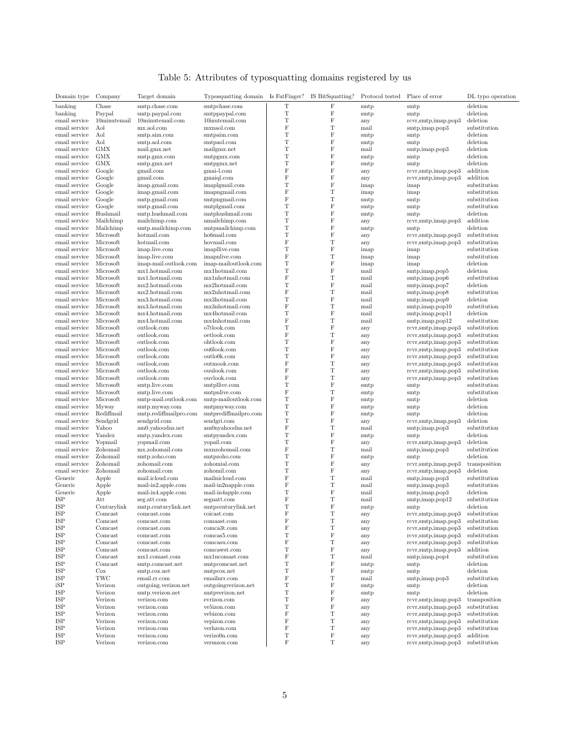|  | Table 5: Attributes of typosquatting domains registered by us |  |  |
|--|---------------------------------------------------------------|--|--|
|  |                                                               |  |  |

| Domain type                    | Company                | Target domain                      | Typosquatting domain Is FatFinger? IS BitSquatting? |                    |                        | Protocol tested Place of error |                                            | DL typo operation            |
|--------------------------------|------------------------|------------------------------------|-----------------------------------------------------|--------------------|------------------------|--------------------------------|--------------------------------------------|------------------------------|
| banking                        | Chase                  | smtp.chase.com                     | smtpchase.com                                       | Т                  | $\rm F$                | smtp                           | smtp                                       | deletion                     |
| banking                        | Paypal                 | smtp.paypal.com                    | smtppaypal.com                                      | $\mathbf T$        | $\rm F$                | smtp                           | smtp                                       | deletion                     |
| email service                  | 10minutemail           | $10$ minutemail.com                | 10inutemail.com                                     | $\mathbf T$        | $\rm F$                | any                            | rcvr,smtp,imap,pop3                        | deletion                     |
| email service                  | Aol                    | mx.aol.com                         | mxnaol.com                                          | F<br>T             | T<br>$\rm F$           | mail                           | smtp,imap,pop3                             | substitution                 |
| email service<br>email service | Aol<br>Aol             | smtp.aim.com<br>smtp.aol.com       | smtpaim.com<br>smtpaol.com                          | T                  | $\mathbf F$            | smtp                           | smtp                                       | deletion<br>deletion         |
| email service                  | <b>GMX</b>             | mail.gmx.net                       | mailgmx.net                                         | $\mathbf T$        | $\rm F$                | smtp<br>mail                   | smtp<br>smtp, imap, pop3                   | deletion                     |
| email service                  | <b>GMX</b>             | smtp.gmx.com                       | smtpgmx.com                                         | T                  | $\rm F$                | smtp                           | smtp                                       | deletion                     |
| email service                  | <b>GMX</b>             | smtp.gmx.net                       | smtpgmx.net                                         | T                  | F                      | smtp                           | smtp                                       | deletion                     |
| email service                  | Google                 | gmail.com                          | gmai-l.com                                          | F                  | $\rm F$                | any                            | rcvr,smtp,imap,pop3                        | addition                     |
| email service                  | Google                 | gmail.com                          | gmaiql.com                                          | F                  | $\rm F$                | any                            | rcvr,smtp,imap,pop3                        | addition                     |
| email service                  | Google                 | imap.gmail.com                     | imaplgmail.com                                      | T                  | $\rm F$                | imap                           | imap                                       | substitution                 |
| email service                  | Google                 | imap.gmail.com                     | imapngmail.com                                      | F                  | $\mathbf T$            | imap                           | imap                                       | substitution                 |
| email service                  | Google                 | smtp.gmail.com                     | smtpngmail.com                                      | $\rm F$            | $\mathbf T$            | smtp                           | smtp                                       | substitution                 |
| email service                  | Google                 | smtp.gmail.com                     | smtplgmail.com                                      | $\mathbf T$        | $\rm F$                | smtp                           | smtp                                       | substitution                 |
| email service                  | Hushmail               | smtp.hushmail.com                  | smtphushmail.com                                    | $\mathbf T$        | $\rm F$                | smtp                           | smtp                                       | deletion                     |
| email service                  | Mailchimp              | mailchimp.com                      | nmailchimp.com                                      | T                  | $\rm F$                | any                            | rcvr,smtp,imap,pop3                        | addition                     |
| email service                  | Mailchimp              | smtp.mailchimp.com                 | smtpmailchimp.com                                   | $\mathbf T$        | $\rm F$                | smtp                           | smtp                                       | deletion                     |
| email service                  | Microsoft              | hotmail.com                        | ho6mail.com                                         | T                  | $\rm F$                | any                            | rcvr, smtp, imp, pop3                      | substitution                 |
| email service                  | Microsoft              | hotmail.com                        | hovmail.com                                         | F                  | $\mathbf T$            | any                            | rcvr,smtp,imap,pop3                        | substitution                 |
| email service                  | Microsoft              | imap.live.com                      | imapllive.com                                       | T                  | $\rm F$                | imap                           | imap                                       | substitution                 |
| email service                  | Microsoft              | imap.live.com                      | imapnlive.com                                       | $\rm F$            | $\mathbf T$            | imap                           | imap                                       | substitution                 |
| email service                  | Microsoft              | imap-mail.outlook.com              | imap-mailoutlook.com                                | T                  | $\rm F$                | imap                           | imap                                       | deletion                     |
| email service                  | Microsoft              | mx1.hotmail.com                    | mx1hotmail.com                                      | T                  | $\mathbf F$            | mail                           | smtp,imap,pop5                             | deletion                     |
| email service                  | Microsoft              | mx1.hotmail.com                    | mx1nhotmail.com                                     | F                  | $\mathbf T$<br>$\rm F$ | mail                           | smtp,imap,pop6                             | substitution                 |
| email service                  | Microsoft              | $mx2.$ hotmail.com                 | mx2hotmail.com                                      | T                  |                        | mail                           | smtp,imap,pop7                             | deletion                     |
| email service                  | Microsoft<br>Microsoft | mx2.hotmail.com                    | mx2nhotmail.com                                     | F<br>T             | $\mathbf T$<br>$\rm F$ | mail                           | smtp, imap, pop8<br>smtp,imap,pop9         | substitution                 |
| email service                  | Microsoft              | mx3.hotmail.com<br>mx3.hotmail.com | mx3hotmail.com<br>mx3nhotmail.com                   | F                  | T                      | mail                           |                                            | deletion<br>substitution     |
| email service<br>email service | Microsoft              | mx4.hotmail.com                    | mx4hotmail.com                                      | T                  | $\rm F$                | mail<br>mail                   | $smtp, \text{imap}$ , pop 10               | deletion                     |
| email service                  | Microsoft              | mx4.hotmail.com                    | mx4nhotmail.com                                     | F                  | $\mathbf T$            | mail                           | smtp,imap,pop11<br>smtp, imap, pop12       | substitution                 |
| email service                  | Microsoft              | outlook.com                        | o7tlook.com                                         | T                  | $\rm F$                | any                            | rcvr,smtp,imap,pop3                        | substitution                 |
| email service                  | Microsoft              | outlook.com                        | oetlook.com                                         | F                  | T                      | any                            | rcvr,smtp,imap,pop3                        | substitution                 |
| email service                  | Microsoft              | outlook.com                        | ohtlook.com                                         | $\mathbf T$        | $\rm F$                | any                            | rcvr,smtp,imap,pop3                        | substitution                 |
| email service                  | Microsoft              | outlook.com                        | ou6look.com                                         | T                  | $\mathbf F$            | any                            | rcvr,smtp,imap,pop3                        | substitution                 |
| email service                  | Microsoft              | outlook.com                        | outlo0k.com                                         | T                  | $\rm F$                | any                            | rcvr,smtp,imap,pop3                        | substitution                 |
| email service                  | Microsoft              | outlook.com                        | outmook.com                                         | $\rm F$            | $\mathbf T$            | any                            | rcvr,smtp,imap,pop3                        | substitution                 |
| email service                  | Microsoft              | outlook.com                        | ouulook.com                                         | F                  | $\mathbf T$            | any                            | rcvr,smtp,imap,pop3                        | substitution                 |
| email service                  | Microsoft              | outlook.com                        | ouvlook.com                                         | F                  | $\mathbf T$            | any                            | rcvr,smtp,imap,pop3                        | substitution                 |
| email service                  | Microsoft              | smtp.live.com                      | smtpllive.com                                       | $\mathbf T$        | $\rm F$                | smtp                           | smtp                                       | substitution                 |
| email service                  | Microsoft              | smtp.live.com                      | smtpnlive.com                                       | $\rm F$            | $\mathbf T$            | smtp                           | smtp                                       | substitution                 |
| email service                  | Microsoft              | smtp-mail.outlook.com              | smtp-mailoutlook.com                                | T                  | $\rm F$                | smtp                           | smtp                                       | deletion                     |
| email service                  | Myway                  | smtp.myway.com                     | smtpmyway.com                                       | $\mathbf T$        | $\rm F$                | smtp                           | smtp                                       | deletion                     |
| email service                  | Rediffmail             | smtp.rediffmailpro.com             | smtprediffmailpro.com                               | $\mathbf T$        | $\rm F$                | smtp                           | smtp                                       | deletion                     |
| email service                  | Sendgrid               | sendgrid.com                       | sendgri.com                                         | $\mathbf T$        | $\rm F$                | any                            | rcvr,smtp,imap,pop3                        | deletion                     |
| email service                  | Yahoo                  | am0.yahoodns.net                   | am0nyahoodns.net                                    | F                  | T                      | mail                           | smtp,imap,pop3                             | substitution                 |
| email service                  | Yandex                 | smtp.yandex.com                    | smtpyandex.com                                      | T                  | $\rm F$                | smtp                           | smtp                                       | deletion                     |
| email service                  | Yopmail                | yopmail.com                        | yopail.com                                          | $\mathbf T$        | $\rm F$                | any                            | rcvr,smtp,imap,pop3                        | deletion                     |
| email service                  | Zohomail               | mx.zohomail.com                    | mxnzohomail.com                                     | F<br>T             | $\mathbf T$<br>$\rm F$ | mail                           | smtp,imap,pop3                             | substitution                 |
| email service<br>email service | Zohomail<br>Zohomail   | smtp.zoho.com<br>zohomail.com      | smtpzoho.com<br>zohomial.com                        | T                  | $\rm F$                | smtp                           | smtp                                       | deletion<br>transposition    |
| email service                  | Zohomail               | zohomail.com                       | zohomil.com                                         | $\mathbf T$        | $\rm F$                | any                            | rcvr,smtp,imap,pop3                        | deletion                     |
| Generic                        | Apple                  | mail.icloud.com                    | mailnicloud.com                                     | F                  | $\mathbf T$            | any<br>mail                    | rcvr,smtp,imap,pop3<br>smtp,imap,pop3      | substitution                 |
| Generic                        | Apple                  | mail-in2.apple.com                 | mail-in2napple.com                                  | $\rm F$            | $\mathbf T$            | mail                           | smtp,imap,pop3                             | substitution                 |
| Generic                        | Apple                  | mail-in4.apple.com                 | mail-in4apple.com                                   | T                  | $\rm F$                | mail                           | smtp,imap,pop3                             | deletion                     |
| ISP                            | Att                    | seg.att.com                        | segnatt.com                                         | $\rm F$            | T                      | mail                           | smtp,imap,pop12                            | substitution                 |
| ISP                            | Centurylink            | smtp.centurylink.net               | smtpcenturylink.net                                 | T                  | F                      | smtp                           | smtp                                       | deletion                     |
| ISP                            | Comcast                | comcast.com                        | coicast.com                                         | $\mathbf F$        | $\mathbf T$            | any                            | rcvr,smtp,imap,pop3                        | substitution                 |
| ISP                            | Comcast                | comcast.com                        | comaast.com                                         | $\rm F$            | $\mathbf T$            | any                            | rcvr,smtp,imap,pop3                        | substitution                 |
| ISP                            | Comcast                | comcast.com                        | comca3t.com                                         | F                  | T                      | any                            | rcvr,smtp,imap,pop3                        | substitution                 |
| ISP                            | Comcast                | comcast.com                        | comcas5.com                                         | $\mathbf T$        | $\rm F$                | any                            | rcvr,smtp,imap,pop3                        | substitution                 |
| ISP                            | Comcast                | comcast.com                        | comcasu.com                                         | F                  | T                      | any                            | rcvr,smtp,imap,pop3                        | substitution                 |
| ISP                            | Comcast                | comcast.com                        | comcawst.com                                        | T                  | F                      | any                            | rcvr,smtp,imap,pop3                        | addition                     |
| ISP                            | Comcast                | mx1.comast.com                     | mx1ncomast.com                                      | F                  | T                      | mail                           | smtp,imap,pop4                             | substitution                 |
| ISP                            | Comcast                | smtp.comcast.net                   | smtpcomcast.net                                     | $\mathbf T$        | $\rm F$                | smtp                           | smtp                                       | deletion                     |
| ISP                            | $\cos$                 | smtp.cox.net                       | smtpcox.net                                         | $\mathbf T$        | $\rm F$                | smtp                           | smtp                                       | deletion                     |
| ISP                            | TWC                    | email.rr.com                       | emailnrr.com                                        | F                  | T                      | mail                           | smtp,imap,pop3                             | substitution                 |
| iSP                            | Verizon                | outgoing.verizon.net               | outgoingverizon.net                                 | $\mathbf T$        | $\rm F$                | smtp                           | smtp                                       | deletion                     |
| ISP                            | Verizon                | smtp.verizon.net                   | smtpverizon.net                                     | T                  | $\rm F$                | smtp                           | smtp                                       | deletion                     |
| $\operatorname{ISP}$           | Verizon                | verizon.com                        | evrizon.com                                         | $\mathbf T$        | $\rm F$                | any                            | rcvr,smtp,imap,pop3                        | transposition                |
| ISP                            | Verizon<br>Verizon     | verizon.com                        | ve5izon.com                                         | T                  | $\rm F$                | any                            | rcvr,smtp,imap,pop3                        | substitution                 |
| ISP                            |                        | verizon.com                        | vebizon.com                                         | $\rm F$<br>$\rm F$ | T                      | any                            | rcvr,smtp,imap,pop3                        | substitution                 |
| ISP<br>ISP                     | Verizon<br>Verizon     | verizon.com                        | vepizon.com<br>verhzon.com                          | $\rm F$            | $\mathbf T$<br>T       | any                            | rcvr,smtp,imap,pop3<br>rcvr,smtp,imap,pop3 | substitution<br>substitution |
| ISP                            | Verizon                | verizon.com<br>verizon.com         | verizo0n.com                                        | T                  | $\rm F$                | any                            | rcvr,smtp,imap,pop3                        | addition                     |
| ISP                            | Verizon                | verizon.com                        | vermzon.com                                         | $\rm F$            | $\mathbf T$            | any<br>any                     | rcvr,smtp,imap,pop3                        | substitution                 |
|                                |                        |                                    |                                                     |                    |                        |                                |                                            |                              |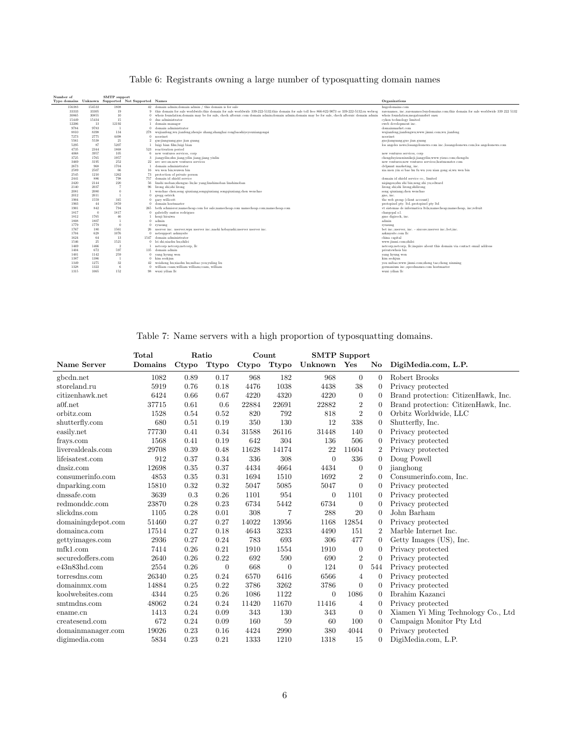| Number of    |              | <b>SMTP</b> support  |                                                    |                                                                                                                                                     |                                                                                         |
|--------------|--------------|----------------------|----------------------------------------------------|-----------------------------------------------------------------------------------------------------------------------------------------------------|-----------------------------------------------------------------------------------------|
|              |              |                      | Typo domains Unknown Supported Not Supported Names |                                                                                                                                                     | Organizations                                                                           |
| 156383       | 154533       | 1808                 |                                                    | 42 domain admin: domain admin / this domain is for sale                                                                                             | hugedomains.com                                                                         |
| 33333        | 33305        | 19                   | $\Omega$                                           | this domain for sale worldwide; this domain for sale worldwide 339-222-5132; this domain for sale toll free 866-822-9073 or 339-222-5132; rn webreg | rarenames, inc.; rarenames; buydomains.com; this domain for sale worldwide 339 222 5132 |
| 30865        | 30855        | 10                   | $\overline{0}$                                     | whois foundation: domain may be for sale, check afternic.com domain admin: domain admin: domain may be for sale, check afternic domain admin        | whois foundation:megatransfert sasu                                                     |
| 15449        | 15434        | 15                   |                                                    | $0$ dns administrator                                                                                                                               | cykon technology limited                                                                |
| 12206        | 13           | 12192                |                                                    | domain manager                                                                                                                                      | eweb development inc.                                                                   |
| 9784         | 9783         | -1                   |                                                    | 0 domain administrator                                                                                                                              | domainmarket.com                                                                        |
| 8810         | 8398         | 134                  | 278                                                | wujianfeng;wu jianfeng;zhenjie zhang;shanghai rongbaoshiyeyouxiangongsi                                                                             | wujianfeng;jianfengwu;www.jinmi.com;wu jianfeng                                         |
| 7273         | 2775         | 4498                 | $\Omega$                                           | noorinet                                                                                                                                            | noorinet                                                                                |
| 5561         | 5538         | 21                   | $\overline{2}$                                     | guojianguang;guo jian guang                                                                                                                         | guojianguang;guo jian guang                                                             |
| 5295         | 87           | 5207                 |                                                    | luigi bian film;luigi bian                                                                                                                          | los angeles news;losangelesnews.com inc.;losangelesnews.com;los angelesnews.com         |
| 4735         | 2344         | 1868                 | 523                                                | reactivation period                                                                                                                                 |                                                                                         |
| 4068         | 3957         | 105                  | 6                                                  | new ventures services, corp.                                                                                                                        | new ventures services, corp.                                                            |
| 3725         | 1765         | 1957                 | 3                                                  | jiangyilin;zhu jiang;yilin jiang;jiang yinlin                                                                                                       | chengduvisuoxinxikeii:iiangvilin:www.visuo.com:chengdu                                  |
| 3469         | 3195         | 252                  | $22^{\circ}$                                       | nvc nvc-sn:new ventures services                                                                                                                    | new ventures:new ventures services:hostmonster.com                                      |
| 2673         | 968          | 1704                 |                                                    | domain administrator                                                                                                                                | dvlpmnt marketing, inc.                                                                 |
| 2589         | 2507         | 66                   | 16                                                 | wu wen bin:wuwen bin                                                                                                                                | xia men vin si bao hu fu wu you xian gong si:wu wen bin                                 |
| 2545         | 1210         | 1262                 | 73                                                 | protection of private person                                                                                                                        |                                                                                         |
| 2441         | 886          | 798                  | 757                                                | domain id shield service                                                                                                                            | domain id shield service co., limited                                                   |
| 2420         | 2144         | 220                  | 56                                                 | linshi moban:zhenguo liu:ke vang:linshimoban linshimoban                                                                                            | niqingsu:zhu zhi bin:zeng zhi vu:edward                                                 |
| 2140         | 2037         |                      | 96                                                 | lirong shi:shi lirong                                                                                                                               | lirong shi:shi lirong:shilirong                                                         |
| 2081         | 2080         | $\Omega$             |                                                    | wenchao chen:song qiuxiang:songqiuxiang songqiuxiang:chen wenchao                                                                                   | song qiuxiang:chen wenchao                                                              |
| 2012         | 2011         |                      |                                                    | 0 gregg ostrick                                                                                                                                     | gno, inc.                                                                               |
| 1904         | 1559         | 345                  |                                                    | 0 gary willicott                                                                                                                                    | the web group (client account)                                                          |
| 1903         | 44           | 1859                 |                                                    | 0 domain hostmaster                                                                                                                                 | protopixel pty. ltd.;protopixel pty ltd                                                 |
| 1901         | 842          | 794                  |                                                    | 265 beth schmierer:namecheap.com for sale:namecheap.com namecheap.com:namecheap.com                                                                 | vt sistemas de informatica ltda:namecheap:namecheap, inc:refruit                        |
| 1817         | $\theta$     | 1817                 |                                                    | 0 gabrielly santos rodrigues                                                                                                                        | chargepal s.l.                                                                          |
| 1812         | 1765         | 46                   |                                                    | kenii hiraiwa                                                                                                                                       | gmo digirock, inc.                                                                      |
| 1808         | 1807         |                      | $\theta$                                           | admin                                                                                                                                               | admin                                                                                   |
| 1779         | 1779         | $\Omega$             | $\theta$                                           | rvusung                                                                                                                                             | rvusung                                                                                 |
| 1767         | 180          | 1561                 | 26                                                 | xserver inc. xserver; wpx xserver inc.; naoki kobayashi; xserver xserver inc.                                                                       | bet inc.:xserver, inc. - sixcore:xserver inc.:bet.inc.                                  |
| 1704         | 628          | 1076                 | $\Omega$                                           | netsupport askmysite<br>1547 domain administrator                                                                                                   | askmysite.com llc                                                                       |
| 1624         | 64           | 13                   |                                                    | 0 lei shi xiaohu hu shilei                                                                                                                          | china capital                                                                           |
| 1546         | 25           | 1521<br>$^{2}$       |                                                    |                                                                                                                                                     | www.iinmi.com:shilei                                                                    |
| 1469         | 1466         |                      | 135                                                | netcorp netcorp:netcorp, llc<br>domain admin                                                                                                        | netcorp;netcorp, llc;inquire about this domain via contact email address                |
| 1404         | 672          | 597                  |                                                    |                                                                                                                                                     | privatewhois biz                                                                        |
| 1401         | 1142         | 259                  |                                                    | 0 yang kyung won                                                                                                                                    | yang kyung won                                                                          |
| 1387<br>1349 | 1386<br>1275 | $\overline{1}$<br>32 |                                                    | 0 kim seokiun<br>weisheng hu:xiaohu hu:mibao vou:vuling liu                                                                                         | kim seokiun                                                                             |
| 1328         | 1322         | -6                   | 42<br>$\Omega$                                     | william coam:william william:coam. william                                                                                                          | you mibao;www.jinmi.com;zheng tao;cheng xinming                                         |
| 1315         | 1065         | 152                  |                                                    | 98 wuxi vilian llc                                                                                                                                  | germanium inc.; speednames.com hostmaster<br>wuxi yilian llc                            |
|              |              |                      |                                                    |                                                                                                                                                     |                                                                                         |

## Table 6: Registrants owning a large number of typosquatting domain names

Table 7: Name servers with a high proportion of typosquatting domains.

|                    | Total   |       | Ratio        |       | Count          | <b>SMTP</b> Support |                |                        |                                     |
|--------------------|---------|-------|--------------|-------|----------------|---------------------|----------------|------------------------|-------------------------------------|
| Name Server        | Domains | Ctypo | <b>Ttypo</b> | Ctypo | <b>Ttypo</b>   | Unknown             | Yes            | $\mathbf{N}\mathbf{o}$ | DigiMedia.com, L.P.                 |
| gbcdn.net          | 1082    | 0.89  | 0.17         | 968   | 182            | 968                 | $\overline{0}$ | $\overline{0}$         | Robert Brooks                       |
| storeland.ru       | 5919    | 0.76  | 0.18         | 4476  | 1038           | 4438                | 38             | $\theta$               | Privacy protected                   |
| citizenhawk.net    | 6424    | 0.66  | 0.67         | 4220  | 4320           | 4220                | $\overline{0}$ | $\theta$               | Brand protection: CitizenHawk, Inc. |
| a0f.net            | 37715   | 0.61  | 0.6          | 22884 | 22691          | 22882               | $\overline{2}$ | $\theta$               | Brand protection: CitizenHawk, Inc. |
| orbitz.com         | 1528    | 0.54  | 0.52         | 820   | 792            | 818                 | $\overline{2}$ | $\theta$               | Orbitz Worldwide, LLC               |
| shutterfly.com     | 680     | 0.51  | 0.19         | 350   | 130            | 12                  | 338            | $\overline{0}$         | Shutterfly, Inc.                    |
| easily.net         | 77730   | 0.41  | 0.34         | 31588 | 26116          | 31448               | 140            | $\boldsymbol{0}$       | Privacy protected                   |
| frays.com          | 1568    | 0.41  | 0.19         | 642   | 304            | 136                 | 506            | $\boldsymbol{0}$       | Privacy protected                   |
| liverealdeals.com  | 29708   | 0.39  | 0.48         | 11628 | 14174          | 22                  | 11604          | $\overline{2}$         | Privacy protected                   |
| lifeisatest.com    | 912     | 0.37  | 0.34         | 336   | 308            | $\theta$            | 336            | $\overline{0}$         | Doug Powell                         |
| dnsiz.com          | 12698   | 0.35  | 0.37         | 4434  | 4664           | 4434                | $\overline{0}$ | $\boldsymbol{0}$       | jianghong                           |
| consumerinfo.com   | 4853    | 0.35  | 0.31         | 1694  | 1510           | 1692                | $\overline{2}$ | $\overline{0}$         | Consumerinfo.com, Inc.              |
| dnparking.com      | 15810   | 0.32  | 0.32         | 5047  | 5085           | 5047                | $\theta$       | $\theta$               | Privacy protected                   |
| dnssafe.com        | 3639    | 0.3   | 0.26         | 1101  | 954            | $\overline{0}$      | 1101           | 0                      | Privacy protected                   |
| redmonddc.com      | 23870   | 0.28  | 0.23         | 6734  | 5442           | 6734                | $\theta$       | $\boldsymbol{0}$       | Privacy protected                   |
| slickdns.com       | 1105    | 0.28  | 0.01         | 308   | $\overline{7}$ | 288                 | 20             | $\theta$               | John Barham                         |
| domainingdepot.com | 51460   | 0.27  | 0.27         | 14022 | 13956          | 1168                | 12854          | 0                      | Privacy protected                   |
| domainca.com       | 17514   | 0.27  | 0.18         | 4643  | 3233           | 4490                | 151            | $\overline{2}$         | Marble Internet Inc.                |
| gettyimages.com    | 2936    | 0.27  | 0.24         | 783   | 693            | 306                 | 477            | $\boldsymbol{0}$       | Getty Images (US), Inc.             |
| mfk1.com           | 7414    | 0.26  | 0.21         | 1910  | 1554           | 1910                | $\overline{0}$ | $\overline{0}$         | Privacy protected                   |
| securedoffers.com  | 2640    | 0.26  | 0.22         | 692   | 590            | 690                 | $\overline{2}$ | $\overline{0}$         | Privacy protected                   |
| e43n83hd.com       | 2554    | 0.26  | $\theta$     | 668   | $\theta$       | 124                 | $\theta$       | 544                    | Privacy protected                   |
| torresdns.com      | 26340   | 0.25  | 0.24         | 6570  | 6416           | 6566                | $\overline{4}$ | $\theta$               | Privacy protected                   |
| domainmx.com       | 14884   | 0.25  | 0.22         | 3786  | 3262           | 3786                | $\theta$       | $\overline{0}$         | Privacy protected                   |
| koolwebsites.com   | 4344    | 0.25  | 0.26         | 1086  | 1122           | 0                   | 1086           | $\theta$               | Ibrahim Kazanci                     |
| smtmdns.com        | 48062   | 0.24  | 0.24         | 11420 | 11670          | 11416               | $\overline{4}$ | $\theta$               | Privacy protected                   |
| ename.cn           | 1413    | 0.24  | 0.09         | 343   | 130            | 343                 | $\theta$       | $\theta$               | Xiamen Yi Ming Technology Co., Ltd  |
| createsend.com     | 672     | 0.24  | 0.09         | 160   | 59             | 60                  | 100            | $\mathbf{0}$           | Campaign Monitor Pty Ltd            |
| domainmanager.com  | 19026   | 0.23  | 0.16         | 4424  | 2990           | 380                 | 4044           | $\overline{0}$         | Privacy protected                   |
| digimedia.com      | 5834    | 0.23  | 0.21         | 1333  | 1210           | 1318                | 15             | $\overline{0}$         | DigiMedia.com, L.P.                 |